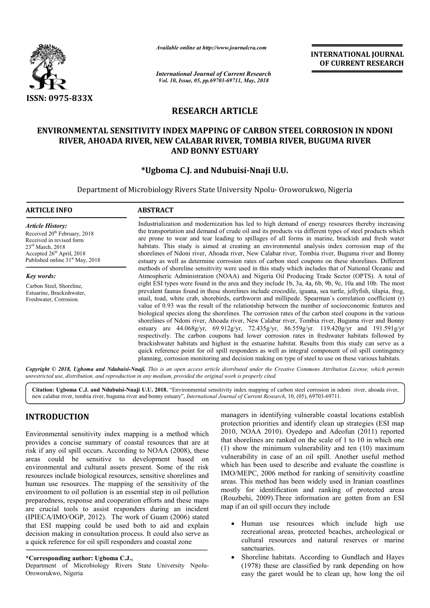

*Available online at http://www.journalcra.com*

*International Journal of Current Research Vol. 10, Issue, 05, pp.69703-69711, May, 2018*

**INTERNATIONAL JOURNAL OF CURRENT RESEARCH**

# **RESEARCH ARTICLE**

# **ENVIRONMENTAL SENSITIVITY INDEX MAPPING OF CARBON STEEL CORROSION IN NDONI RIVER, AHOADA RIVER, NEW CALABAR RIVER, TOMBIA RIVER, BUGUMA RIVER RIVER, AHOADA NEW CALABAR AND BONNY ESTUARY**

# **\*Ugboma C.J. and Ugboma Ndubuisi-Nnaji U.U.**

Department of Microbiology Rivers State University Npolu- Oroworukwo, Nigeria

#### **ARTICLE INFO ABSTRACT**

*Article History:* Received 20<sup>th</sup> February, 2018 Received in revised form 23rd March, 2018 Accepted 26<sup>th</sup> April, 2018 Published online  $31<sup>st</sup>$  May, 2018

*Key words:* Carbon Steel, Shoreline, Estuarine, Brackishwater, Freshwater, Corrosion.

Industrialization and modernization has led to high demand of energy resources thereby increasing the transportation and demand of crude oil and its products via different types of steel products which are prone to wear and tear leading to spillages of all forms in marine, brackish and fresh water habitats. This study is aimed at creating an environmental analysis index corrosion map of the shorelines of Ndoni river, Ahoada river, New Calabar river, Tombia river, Buguma river and Bonny estuary as well as determine corrosion rates of carbon steel coupons on these shorelines. Different methods of shoreline sensitivity were used in this study which includes that of National Oceanic and Atmospheric Administration (NOAA) and Nigeria Oil Producing Trade Sector (OPTS). A total of eight ESI types were found in the area and they include 1b, 3a, 4a, 6b, 9b, 9c, 10a and 10b. The most prevalent faunas found in these shorelines include crocodile, iguana, sea turtle, jellyfish, tilapia, frog, snail, toad, white crab, shorebirds, earthworm and millipede. Spearman`s correlation coefficient (r) value of 0.93 was the result of the relationship between the number of socioeconomic features and biological species along the shorelines. The corrosion rates of the carbon steel coupons in the various prevalent faunas found in these shorelines include crocodile, iguana, sea turtle, jellyfish, tilapia, frog, snail, toad, white crab, shorebirds, earthworm and millipede. Spearman's correlation coefficient (r) value of 0.93 estuary are 44.068g/yr, 69.912g/yr, 72.435g/yr, 86.559g/yr. 119.420g/yr and 191.591g/yr respectively. The carbon coupons had lower corrosion rates in freshwater habitats followed by brackishwater habitats and highest in the estuarine habitat. Results from this study can serve as a quick reference point for oil spill responders as well as integral component of oil spill contingency planning, corrosion monitoring and decision making on type of steel to use on these various habitats. Industrialization and modernization has led to high demand of energy resources thereby increasing<br>the transportation and demand of crude oil and its products via different types of steel products which<br>are prone to wear an estuary are 44.068g/yr, 69.912g/yr, 72.435g/yr, 86.559g/yr. 119.420g/yr and 191.591g/<br>respectively. The carbon coupons had lower corrosion rates in freshwater habitats followed b<br>brackishwater habitats and highest in the e or resources natural are easy be clean

Copyright © 2018, Ugboma and Ndubuisi-Nnaji. This is an open access article distributed under the Creative Commons Attribution License, which permits *unrestricted use, distribution, and reproduction in any medium, provided the original work is properly cited.*

**Citation: Ugboma C.J. and Ndubuisi-Nnaji U.U. 201 2018.** "Environmental sensitivity index mapping of carbon steel corrosion in ndoni river, ahoada river, Citation: Ugboma C.J. and Ndubuisi-Nnaji U.U. 2018. "Environmental sensitivity index mapping of carbon steel corrosion in ndoni river, new calabar river, tombia river, buguma river and bonny estuary", *International Journa* 

# **INTRODUCTION**

Environmental sensitivity index mapping is a method which provides a concise summary of coastal resources that are at risk if any oil spill occurs. According to NOAA (2008), these areas could be sensitive to development based on environmental and cultural assets present. Some of the risk resources include biological resources, sensitive shorelines and human use resources. The mapping of the sensitivity of the environment to oil pollution is an essential step in oil pollution preparedness, response and cooperation efforts and these maps are crucial tools to assist responders during an incident (IPIECA/IMO/OGP, 2012). The work of Guam (2006) stated that ESI mapping could be used both to aid and explain decision making in consultation process. It could also serve as a quick reference for oil spill responders and coastal zone

## **\*Corresponding author: Ugboma C.J.,**

Department of Microbiology Rivers State University Npolu-Oroworukwo, Nigeria

managers in identifying vulnerable coastal locations establish protection priorities and identify clean up strategies (ESI map 2010, NOAA 2010). Oyedepo and Adeofun (2011) reported that shorelines are ranked on the scale of 1 to 10 in which one (1) show the minimum vulnerability and ten (10) maximum vulnerability in case of an oil spill. Another useful method which has been used to describe and evaluate the coastline is (1) show the minimum vulnerability and ten (10) maximum vulnerability in case of an oil spill. Another useful method which has been used to describe and evaluate the coastline is  $IMO/MEPC$ ,  $2006$  method for ranking of sens areas. This method has been widely used in Iranian coastlines mostly for identification and ranking of protected areas (Rouzbehi, 2009).Three information are gotten from an ESI map if an oil spill occurs they include It is method has been widely used in Iranian coastlines<br>
stly for identification and ranking of protected areas<br>
stly for identification and ranking of protected areas<br>
uzbehi, 2009). Three information are gotten from an E entifying vulnerable coastal locations establish<br>rities and identify clean up strategies (ESI map<br>2010). Oyedepo and Adeofun (2011) reported<br>are ranked on the scale of 1 to 10 in which one

- recreational areas, protected beaches, archeological or cultural resources and natural reserves or marine sanctuaries.
- Shoreline habitats. According to Gundlach and Hayes (1978) these are classified by rank depending on how easy the garet would be to clean up, how long the oil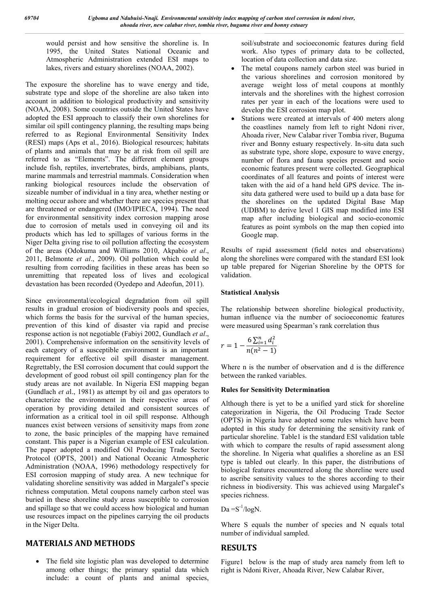would persist and how sensitive the shoreline is. In 1995, the United States National Oceanic and Atmospheric Administration extended ESI maps to lakes, rivers and estuary shorelines (NOAA, 2002).

The exposure the shoreline has to wave energy and tide, substrate type and slope of the shoreline are also taken into account in addition to biological productivity and sensitivity (NOAA, 2008). Some countries outside the United States have adopted the ESI approach to classify their own shorelines for similar oil spill contingency planning, the resulting maps being referred to as Regional Environmental Sensitivity Index (RESI) maps (Aps et al., 2016). Biological resources; habitats of plants and animals that may be at risk from oil spill are referred to as "Elements". The different element groups include fish, reptiles, invertebrates, birds, amphibians, plants, marine mammals and terrestrial mammals. Consideration when ranking biological resources include the observation of sizeable number of individual in a tiny area, whether nesting or molting occur ashore and whether there are species present that are threatened or endangered (IMO/IPIECA, 1994). The need for environmental sensitivity index corrosion mapping arose due to corrosion of metals used in conveying oil and its products which has led to spillages of various forms in the Niger Delta giving rise to oil pollution affecting the ecosystem of the areas (Odokuma and Williams 2010, Akpabio *et al*., 2011, Belmonte *et al*., 2009). Oil pollution which could be resulting from corroding facilities in these areas has been so unremitting that repeated loss of lives and ecological devastation has been recorded (Oyedepo and Adeofun, 2011).

Since environmental/ecological degradation from oil spill results in gradual erosion of biodiversity pools and species, which forms the basis for the survival of the human species, prevention of this kind of disaster via rapid and precise response action is not negotiable (Fabiyi 2002, Gundlach *et al*., 2001). Comprehensive information on the sensitivity levels of each category of a susceptible environment is an important requirement for effective oil spill disaster management. Regrettably, the ESI corrosion document that could support the development of good robust oil spill contingency plan for the study areas are not available. In Nigeria ESI mapping began (Gundlach *et a*l., 1981) as attempt by oil and gas operators to characterize the environment in their respective areas of operation by providing detailed and consistent sources of information as a critical tool in oil spill response. Although nuances exist between versions of sensitivity maps from zone to zone, the basic principles of the mapping have remained constant. This paper is a Nigerian example of ESI calculation. The paper adopted a modified Oil Producing Trade Sector Protocol (OPTS, 2001) and National Oceanic Atmospheric Administration (NOAA, 1996) methodology respectively for ESI corrosion mapping of study area. A new technique for validating shoreline sensitivity was added in Margalef's specie richness computation. Metal coupons namely carbon steel was buried in these shoreline study areas susceptible to corrosion and spillage so that we could access how biological and human use resources impact on the pipelines carrying the oil products in the Niger Delta.

# **MATERIALS AND METHODS**

• The field site logistic plan was developed to determine among other things; the primary spatial data which include: a count of plants and animal species,

soil/substrate and socioeconomic features during field work. Also types of primary data to be collected, location of data collection and data size.

- The metal coupons namely carbon steel was buried in the various shorelines and corrosion monitored by average weight loss of metal coupons at monthly intervals and the shorelines with the highest corrosion rates per year in each of the locations were used to develop the ESI corrosion map plot.
- Stations were created at intervals of 400 meters along the coastlines namely from left to right Ndoni river, Ahoada river, New Calabar river Tombia river, Buguma river and Bonny estuary respectively. In-situ data such as substrate type, shore slope, exposure to wave energy, number of flora and fauna species present and socio economic features present were collected. Geographical coordinates of all features and points of interest were taken with the aid of a hand held GPS device. The insitu data gathered were used to build up a data base for the shorelines on the updated Digital Base Map (UDBM) to derive level 1 GIS map modified into ESI map after including biological and socio-economic features as point symbols on the map then copied into Google map.

Results of rapid assessment (field notes and observations) along the shorelines were compared with the standard ESI look up table prepared for Nigerian Shoreline by the OPTS for validation.

### **Statistical Analysis**

The relationship between shoreline biological productivity, human influence via the number of socioeconomic features were measured using Spearman's rank correlation thus

$$
r = 1 - \frac{6 \sum_{i=1}^{n} d_i^2}{n(n^2 - 1)}
$$

Where n is the number of observation and d is the difference between the ranked variables.

#### **Rules for Sensitivity Determination**

Although there is yet to be a unified yard stick for shoreline categorization in Nigeria, the Oil Producing Trade Sector (OPTS) in Nigeria have adopted some rules which have been adopted in this study for determining the sensitivity rank of particular shoreline. Table1 is the standard ESI validation table with which to compare the results of rapid assessment along the shoreline. In Nigeria what qualifies a shoreline as an ESI type is tabled out clearly. In this paper, the distributions of biological features encountered along the shoreline were used to ascribe sensitivity values to the shores according to their richness in biodiversity. This was achieved using Margalef's species richness.

 $Da = S^{-1}/log N$ .

Where S equals the number of species and N equals total number of individual sampled.

## **RESULTS**

Figure1 below is the map of study area namely from left to right is Ndoni River, Ahoada River, New Calabar River,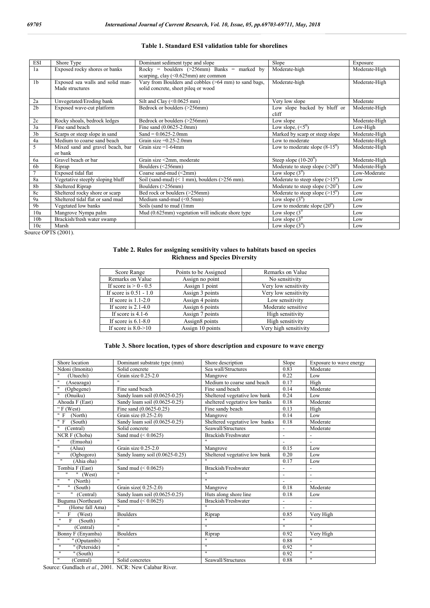#### **Table 1. Standard ESI validation table for shorelines**

| <b>ESI</b>      | Shore Type                       | Dominant sediment type and slope                      | Slope                                   | Exposure      |
|-----------------|----------------------------------|-------------------------------------------------------|-----------------------------------------|---------------|
| 1a              | Exposed rocky shores or banks    | Rocky = boulders ( $>$ 256mm) Banks = marked by       | Moderate-high                           | Moderate-High |
|                 |                                  | scarping, clay $(0.625 \text{mm})$ are common         |                                         |               |
| 1 <sub>b</sub>  | Exposed sea walls and solid man- | Vary from Boulders and cobbles (>64 mm) to sand bags, | Moderate-high                           | Moderate-High |
|                 | Made structures                  | solid concrete, sheet pileq or wood                   |                                         |               |
|                 |                                  |                                                       |                                         |               |
| 2a              | Unvegetated/Eroding bank         | Silt and Clay $(0.0625 \text{ mm})$                   | Very low slope                          | Moderate      |
| 2 <sub>b</sub>  | Exposed wave-cut platform        | Bedrock or boulders (>256mm)                          | Low slope backed by bluff or            | Moderate-High |
|                 |                                  |                                                       | cliff                                   |               |
| 2c              | Rocky shoals, bedrock ledges     | Bedrock or boulders (>256mm)                          | Low slope                               | Moderate-High |
| 3a              | Fine sand beach                  | Fine sand $(0.0625 - 2.0$ mm)                         | Low slope, $(<5^{\circ})$               | Low-High      |
| 3 <sub>b</sub>  | Scarps or steep slope in sand    | $Sand = 0.0625 - 2.0$ mm                              | Marked by scarp or steep slope          | Moderate-High |
| 4a              | Medium to coarse sand beach      | Grain size $=0.25-2.0$ mm                             | Low to moderate                         | Moderate-High |
| 5               | Mixed sand and gravel beach, bar | Grain size $=1-64$ mm                                 | Low to moderate slope $(8-15^0)$        | Moderate-High |
|                 | or bank                          |                                                       |                                         |               |
| 6a              | Gravel beach or bar              | Grain size <2mm, moderate                             | Steep slope $(10-20^{\circ})$           | Moderate-High |
| 6 <sub>b</sub>  | Riprap                           | Boulders $(\leq 256$ mm)                              | Moderate to steep slope $(>20^0)$       | Moderate-High |
| $\overline{7}$  | Exposed tidal flat               | Coarse sand-mud (<2mm)                                | Low slope $(3^0)$                       | Low-Moderate  |
| 8a              | Vegetative steeply sloping bluff | Soil (sand-mud) $(< 1$ mm), boulders $(>256$ mm).     | Moderate to steep slope $(>15^{\circ})$ | Low           |
| 8b              | Sheltered Riprap                 | Boulders (>256mm)                                     | Moderate to steep slope $(>20^{\circ})$ | Low           |
| 8c              | Sheltered rocky shore or scarp   | Bed rock or boulders (>256mm)                         | Moderate to steep slope $(>15^0)$       | Low           |
| 9a              | Sheltered tidal flat or sand mud | Medium sand-mud $(\leq 0.5$ mm)                       | Low slope $(3^0)$                       | Low           |
| 9 <sub>b</sub>  | Vegetated low banks              | Soils (sand to mud (1mm                               | Low to moderate slope $(20^0)$          | Low           |
| 10a             | Mangrove Nympa palm              | Mud (0.625mm) vegetation will indicate shore type     | Low slope $(3^0)$                       | Low           |
| 10 <sub>b</sub> | Brackish/fresh water swamp       |                                                       | Low slope $(3^0)$                       | Low           |
| 10c             | Marsh                            |                                                       | Low slope $(3^0)$                       | Low           |

Source OPTS (2001).

#### **Table 2. Rules for assigning sensitivity values to habitats based on species Richness and Species Diversity**

| Score Range                      | Points to be Assigned | Remarks on Value      |
|----------------------------------|-----------------------|-----------------------|
| Remarks on Value                 | Assign no point       | No sensitivity        |
| If score is $> 0 - 0.5$          | Assign 1 point        | Very low sensitivity  |
| If score is $0.51 - 1.0$         | Assign 3 points       | Very low sensitivity  |
| If score is $1.1-2.0$            | Assign 4 points       | Low sensitivity       |
| If score is $2.1-4.0$            | Assign 6 points       | Moderate sensitive    |
| If score is $4.1-6$              | Assign 7 points       | High sensitivity      |
| If score is $6.1-8.0$            | Assign8 points        | High sensitivity      |
| If score is $8.0 \rightarrow 10$ | Assign 10 points      | Very high sensitivity |

#### **Table 3. Shore location, types of shore description and exposure to wave energy**

| Shore location                                | Dominant substrate type (mm)      | Shore description              | Slope                    | Exposure to wave energy  |
|-----------------------------------------------|-----------------------------------|--------------------------------|--------------------------|--------------------------|
| Ndoni (Imonita)                               | Solid concrete                    | Sea wall/Structures            | 0.83                     | Moderate                 |
| $\overline{ }$<br>(Utuechi)                   | Grain size $0.25-2.0$             | Mangrove                       | 0.22                     | Low                      |
| π<br>(Aseazaga)                               | $\overline{\mathbf{u}}$           | Medium to coarse sand beach    | 0.17                     | High                     |
| (Ogbegene)                                    | Fine sand beach                   | Fine sand beach                | 0.14                     | Moderate                 |
| $^{\prime\prime}$<br>(Onuiku)                 | Sandy loam soil (0.0625-0.25)     | Sheltered vegetative low bank  | 0.24                     | Low                      |
| Ahoada F (East)                               | Sandy loam soil (0.0625-0.25)     | sheltered vegetative low banks | 0.18                     | Moderate                 |
| " $F$ (West)                                  | Fine sand $(0.0625 - 0.25)$       | Fine sandy beach               | 0.13                     | High                     |
| "F<br>(North)                                 | Grain size $(0.25-2.0)$           | Mangrove                       | 0.14                     | Low                      |
| " F<br>(South)                                | Sandy loam soil (0.0625-0.25)     | Sheltered vegetative low banks | 0.18                     | Moderate                 |
| $\pmb{\mathsf{H}}$<br>(Central)               | Solid concrete                    | Seawall/Structures             |                          | Moderate                 |
| NCR F (Choba)                                 | Sand mud $(< 0.0625)$             | Brackish/Freshwater            | $\overline{\phantom{a}}$ |                          |
| $^{\prime\prime}$<br>(Emuoha)                 | $\overline{}}$                    | $\overline{ }$                 | $\blacksquare$           | $\blacksquare$           |
| $\pmb{\mathsf{H}}$<br>(Aluu)                  | Grain size 0.25-2.0               | Mangrove                       | 0.15                     | Low                      |
| $^{\prime\prime}$<br>(Ogbogoro)               | Sandy loamy soil (0.0625-0.25)    | Sheltered vegetative low bank  | 0.20                     | Low                      |
| $\overline{\mathbf{u}}$<br>(Ahia oha)         | $\mathbf{H}$                      |                                | 0.17                     | Low                      |
| Tombia F (East)                               | Sand mud $(< 0.0625)$             | Brackish/Freshwater            | $\overline{\phantom{a}}$ |                          |
| 11<br>(West)                                  | $\overline{}}$                    | $\overline{\mathbf{u}}$        | $\overline{\phantom{a}}$ | $\overline{\phantom{a}}$ |
| π<br>11<br>(North)                            | $\overline{}}$                    | $\overline{}}$                 | $\overline{a}$           |                          |
| $\pmb{\mathsf{H}}$<br>$\mathbf{H}$<br>(South) | Grain size(0.25-2.0)              | Mangrove                       | 0.18                     | Moderate                 |
| $\overline{\mathbf{G}}$<br>(Central)          | Sandy loam soil $(0.0625 - 0.25)$ | Huts along shore line          | 0.18                     | Low                      |
| Buguma (Northeast)                            | Sand mud $(< 0.0625)$             | Brackish/Freshwater            | $\overline{a}$           | $\overline{\phantom{a}}$ |
| (Horse fall Ama)                              | $\mathbf{u}$                      | $\mathbf{u}$                   | $\overline{\phantom{a}}$ | $\overline{\phantom{a}}$ |
| $^{\prime\prime}$<br>F<br>(West)              | <b>Boulders</b>                   | Riprap                         | 0.85                     | Very High                |
| 11<br>F<br>(South)                            | $\mathbf{H}$                      | $\mathbf{u}$                   | $\mathbf{H}$             | $\mathbf{H}$             |
| $^{\prime\prime}$<br>(Central)                | $\mathbf{u}$                      | $\mathbf{u}$                   | $\mathbf{H}$             | $\overline{u}$           |
| Bonny F (Enyamba)                             | <b>Boulders</b>                   | Riprap                         | 0.92                     | Very High                |
| $\pmb{\mathsf{H}}$<br>" (Oputambi)            | $\overline{u}$                    | $\mathbf{H}$                   | 0.88                     | $\overline{u}$           |
| $\pmb{\mathsf{H}}$<br>" (Peterside)           | $\mathbf{H}$                      | $\mathbf{H}$                   | 0.92                     | $\mathbf{H}$             |
| $\overline{\mathbf{u}}$<br>" $(South)$        | $\overline{}}$                    | $\overline{}}$                 | 0.92                     | $\overline{u}$           |
| $\pmb{\mathsf{H}}$<br>(Central)               | Solid concretes                   | Seawall/Structures             | 0.88                     | $\mathbf{H}$             |

Source: Gundlach *et al*., 2001. NCR: New Calabar River.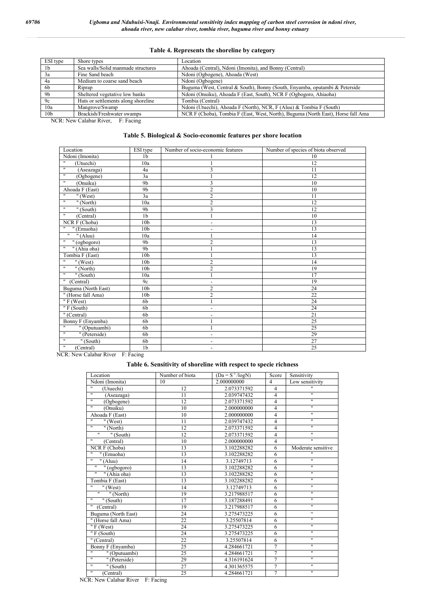### **Table 4. Represents the shoreline by category**

| ESI type        | Shore types                         | Location                                                                         |
|-----------------|-------------------------------------|----------------------------------------------------------------------------------|
| 1 <sub>b</sub>  | Sea walls/Solid manmade structures  | Ahoada (Central), Ndoni (Imonita), and Bonny (Central)                           |
| <sup>3a</sup>   | Fine Sand beach                     | Ndoni (Ogbogene), Ahoada (West)                                                  |
| 4a              | Medium to coarse sand beach         | Ndoni (Ogbogene)                                                                 |
| - 6b            | Riprap                              | Buguma (West, Central & South), Bonny (South, Enyamba, oputambi & Peterside      |
| 9b              | Sheltered vegetative low banks      | Ndoni (Onuiku), Ahoada F (East, South), NCR F (Ogbogoro, Ahiaoha)                |
| 9c              | Huts or settlements along shoreline | Tombia (Central)                                                                 |
| 10a             | Mangrove/Swamp                      | Ndoni (Utuechi), Ahoada F (North), NCR, F (Aluu) & Tombia F (South)              |
| 10 <sub>b</sub> | Brackish/Freshwater swamps          | NCR F (Choba), Tombia F (East, West, North), Buguma (North East), Horse fall Ama |

NCR: New Calabar River, F: Facing

#### **Table 5. Biological & Socio-economic features per shore location**

| Location                            | ESI type        | Number of socio-economic features | Number of species of biota observed |
|-------------------------------------|-----------------|-----------------------------------|-------------------------------------|
| Ndoni (Imonita)                     | 1 <sub>b</sub>  |                                   | 10                                  |
| .,<br>(Utuechi)                     | 10a             |                                   | 12                                  |
| π<br>(Aseazaga)                     | 4a              | 3                                 | 11                                  |
| $\pmb{\mathsf{H}}$<br>(Ogbogene)    | 3a              |                                   | 12                                  |
| 11<br>(Onuiku)                      | 9 <sub>b</sub>  | 3                                 | 10                                  |
| Ahoada F (East)                     | 9 <sub>b</sub>  | $\overline{2}$                    | 10                                  |
| .,<br>" $(West)$                    | 3a              | $\mathbf{2}$                      | 11                                  |
| π<br>"(North)                       | 10a             | $\overline{2}$                    | $\overline{12}$                     |
| π<br>" (South)                      | 9 <sub>b</sub>  | 3                                 | 12                                  |
| 11<br>(Central)                     | 1 <sub>b</sub>  |                                   | 10                                  |
| NCR F (Choba)                       | 10 <sub>b</sub> | $\overline{\phantom{a}}$          | 13                                  |
| 11<br>$\sqrt{\frac{1}{2}}$ (Emuoha) | 10 <sub>b</sub> | $\overline{\phantom{0}}$          | 13                                  |
| π<br>$"$ (Aluu)                     | 10a             |                                   | 14                                  |
| $\pmb{\mathsf{H}}$<br>" (ogbogoro)  | 9 <sub>b</sub>  | $\overline{2}$                    | 13                                  |
| 11<br>" (Ahia oha)                  | 9 <sub>b</sub>  |                                   | 13                                  |
| Tombia F (East)                     | 10 <sub>b</sub> |                                   | 13                                  |
| $\pmb{\mathsf{H}}$<br>" $(West)$    | 10 <sub>b</sub> | $\overline{c}$                    | 14                                  |
| π<br>$\sqrt{n}$ (North)             | 10 <sub>b</sub> | $\overline{2}$                    | 19                                  |
| π<br>"(South)                       | 10a             |                                   | 17                                  |
| 11<br>(Central)                     | 9c              | $\overline{\phantom{a}}$          | 19                                  |
| Buguma (North East)                 | 10 <sub>b</sub> | $\overline{2}$                    | 24                                  |
| " (Horse fall Ama)                  | 10 <sub>b</sub> | $\overline{2}$                    | 22                                  |
| " $F$ (West)                        | 6 <sub>b</sub>  |                                   | 24                                  |
| "F (South)                          | 6 <sub>b</sub>  | $\overline{\phantom{a}}$          | 24                                  |
| " (Central)                         | 6 <sub>b</sub>  | $\overline{\phantom{a}}$          | 21                                  |
| Bonny F (Enyamba)                   | 6 <sub>b</sub>  |                                   | 25                                  |
| π<br>"(Oputuambi)                   | 6 <sub>b</sub>  |                                   | 25                                  |
| π<br>" (Peterside)                  | 6 <sub>b</sub>  | $\overline{\phantom{a}}$          | 29                                  |
| $\mathbf{H}$<br>" (South)           | 6b              | $\overline{\phantom{a}}$          | 27                                  |
| $\pmb{\mathsf{H}}$<br>(Central)     | 1 <sub>b</sub>  | $\overline{\phantom{a}}$          | 25                                  |

NCR: New Calabar River F: Facing

#### **Table 6. Sensitivity of shoreline with respect to specie richness**

| Location                             | Number of biota | $(Da = S-1/logN)$ | Score          | Sensitivity              |
|--------------------------------------|-----------------|-------------------|----------------|--------------------------|
| Ndoni (Imonita)                      | 10              | 2.000000000       | $\overline{4}$ | Low sensitivity          |
| $\overline{\mathbf{u}}$<br>(Utuechi) | 12              | 2.073371592       | 4              |                          |
| 11<br>(Aseazaga)                     | 11              | 2.039747432       | $\overline{4}$ | $\pmb{\mathsf{H}}$       |
| π<br>(Ogbogene)                      | 12              | 2.073371592       | $\overline{4}$ | $\pmb{\mathsf{H}}$       |
| π<br>(Onuiku)                        | 10              | 2.000000000       | $\overline{4}$ | $\pmb{\mathsf{H}}$       |
| Ahoada F (East)                      | 10              | 2.000000000       | $\overline{4}$ | $\pmb{\mathsf{H}}$       |
| $\mathbf{H}$<br>" $(West)$           | 11              | 2.039747432       | $\overline{4}$ | $\pmb{\mathsf{H}}$       |
| π<br>" $(North)$                     | 12              | 2.073371592       | 4              | π                        |
| " (South)                            | 12              | 2.073371592       | $\overline{4}$ | $\pmb{\mathsf{H}}$       |
| 11<br>(Central)                      | 10              | 2.000000000       | $\overline{4}$ | $^{\prime\prime}$        |
| NCR F (Choba)                        | 13              | 3.102288282       | 6              | Moderate sensitive       |
| 11<br>" (Emuoha)                     | 13              | 3.102288282       | 6              | $^{\prime\prime}$        |
| 11<br>$\overline{H(A u)}$            | 14              | 3.12749713        | 6              | $\pmb{\mathsf{H}}$       |
| $\pmb{\mathsf{H}}$<br>" (ogbogoro)   | 13              | 3.102288282       | 6              | $\pmb{\mathsf{H}}$       |
| 11<br>" (Ahia oha)                   | 13              | 3.102288282       | 6              | $\pmb{\mathsf{H}}$       |
| Tombia F (East)                      | 13              | 3.102288282       | 6              | $\pmb{\mathsf{H}}$       |
| <br>$"$ (West)                       | 14              | 3.12749713        | 6              | $\pmb{\mathsf{H}}$       |
| π.<br>" (North)                      | 19              | 3.217988517       | 6              | $\pmb{\mathsf{H}}$       |
| π<br>$\sqrt{\text{South}}$           | 17              | 3.187288491       | 6              | $\overline{\mathbf{u}}$  |
| (Central)                            | 19              | 3.217988517       | 6              | π                        |
| Buguma (North East)                  | 24              | 3.275473225       | 6              | $\mathbf{c}\,\mathbf{c}$ |
| " (Horse fall Ama)                   | 22              | 3.25507814        | 6              | $\pmb{\mathsf{H}}$       |
| " $F$ (West)                         | 24              | 3.275473225       | 6              | π                        |
| "F (South)                           | 24              | 3.275473225       | 6              | $\pmb{\mathsf{H}}$       |
| $\sqrt{\frac{1}{C}$ central          | 22              | 3.25507814        | 6              | $^{\prime\prime}$        |
| Bonny F (Enyamba)                    | 25              | 4.284661721       | 7              | 11                       |
| $\mathbf{H}$<br>" (Oputuambi)        | 25              | 4.284661721       | $\overline{7}$ | $\pmb{\mathsf{H}}$       |
| π<br>" (Peterside)                   | 29              | 4.316191624       | $\overline{7}$ | π                        |
| π<br>$\sqrt{\text{South}}$           | $\overline{27}$ | 4.301365575       | 7              | π                        |
| 11<br>(Central)                      | 25              | 4.284661721       | $\overline{7}$ | $\pmb{\mathsf{H}}$       |

NCR: New Calabar River F: Facing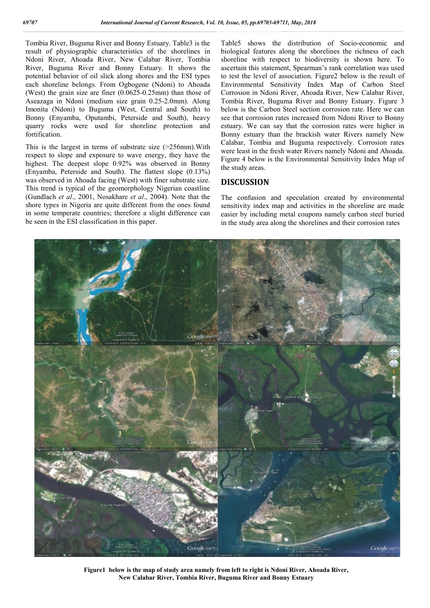Tombia River, Buguma River and Bonny Estuary. Table3 is the result of physiographic characteristics of the shorelines in Ndoni River, Ahoada River, New Calabar River, Tombia River, Buguma River and Bonny Estuary. It shows the potential behavior of oil slick along shores and the ESI types each shoreline belongs. From Ogbogene (Ndoni) to Ahoada (West) the grain size are finer (0.0625-0.25mm) than those of Aseazaga in Ndoni (medium size grain 0.25-2.0mm). Along Imonita (Ndoni) to Buguma (West, Central and South) to Bonny (Enyamba, Oputambi, Peterside and South), heavy quarry rocks were used for shoreline protection and fortification.

This is the largest in terms of substrate size (>256mm).With respect to slope and exposure to wave energy, they have the highest. The deepest slope 0.92% was observed in Bonny (Enyamba, Peterside and South). The flattest slope (0.13%) was observed in Ahoada facing (West) with finer substrate size. This trend is typical of the geomorphology Nigerian coastline (Gundlach *et al*., 2001, Nosakhare *et al*., 2004). Note that the shore types in Nigeria are quite different from the ones found in some temperate countries; therefore a slight difference can be seen in the ESI classification in this paper.

Table5 shows the distribution of Socio-economic and biological features along the shorelines the richness of each shoreline with respect to biodiversity is shown here. To ascertain this statement, Spearman's rank correlation was used to test the level of association. Figure2 below is the result of Environmental Sensitivity Index Map of Carbon Steel Corrosion in Ndoni River, Ahoada River, New Calabar River, Tombia River, Buguma River and Bonny Estuary. Figure 3 below is the Carbon Steel section corrosion rate. Here we can see that corrosion rates increased from Ndoni River to Bonny estuary. We can say that the corrosion rates were higher in Bonny estuary than the brackish water Rivers namely New Calabar, Tombia and Buguma respectively. Corrosion rates were least in the fresh water Rivers namely Ndoni and Ahoada. Figure 4 below is the Environmental Sensitivity Index Map of the study areas.

## **DISCUSSION**

The confusion and speculation created by environmental sensitivity index map and activities in the shoreline are made easier by including metal coupons namely carbon steel buried in the study area along the shorelines and their corrosion rates



**Figure1 below is the map of study area namely from left to right is Ndoni River, Ahoada River, New Calabar River, Tombia River, Buguma River and Bonny Estuary**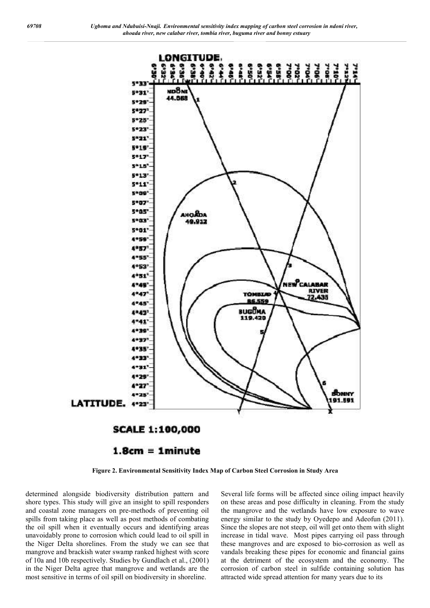



# $1.8cm = 1 minutes$

**Figure 2. Environmental Sensitivity Index Map of Carbon Steel Corrosion in Study Area**

determined alongside biodiversity distribution pattern and shore types. This study will give an insight to spill responders and coastal zone managers on pre-methods of preventing oil spills from taking place as well as post methods of combating the oil spill when it eventually occurs and identifying areas unavoidably prone to corrosion which could lead to oil spill in the Niger Delta shorelines. From the study we can see that mangrove and brackish water swamp ranked highest with score of 10a and 10b respectively. Studies by Gundlach et al., (2001) in the Niger Delta agree that mangrove and wetlands are the most sensitive in terms of oil spill on biodiversity in shoreline.

Several life forms will be affected since oiling impact heavily on these areas and pose difficulty in cleaning. From the study the mangrove and the wetlands have low exposure to wave energy similar to the study by Oyedepo and Adeofun (2011). Since the slopes are not steep, oil will get onto them with slight increase in tidal wave. Most pipes carrying oil pass through these mangroves and are exposed to bio-corrosion as well as vandals breaking these pipes for economic and financial gains at the detriment of the ecosystem and the economy. The corrosion of carbon steel in sulfide containing solution has attracted wide spread attention for many years due to its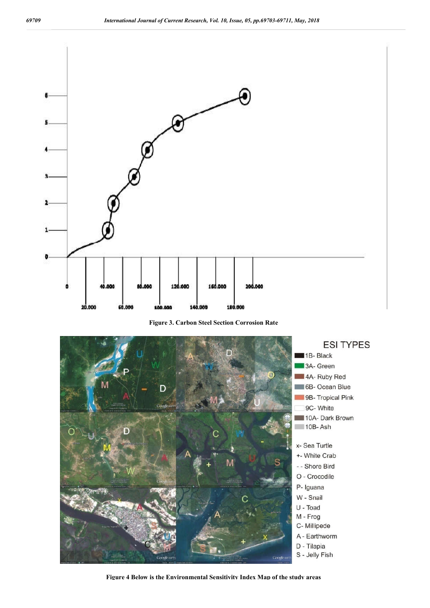

**Figure 3. Carbon Steel Section Corrosion Rate**



**Figure 4 Below is the Environmental Sensitivity Index Map of the study areas**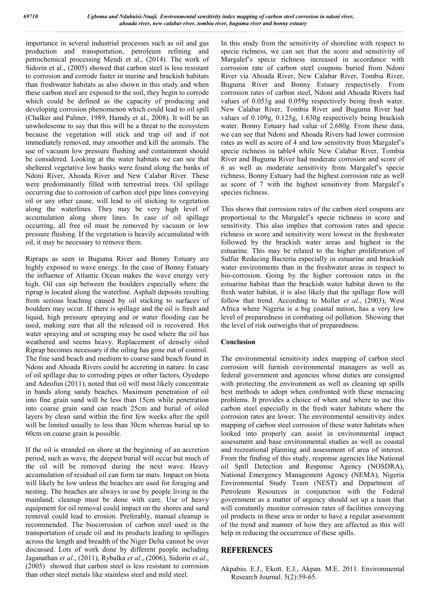importance in several industrial processes such as oil and gas production and transportation, petroleum refining and petrochemical processing Mendi et al., (2014). The work of Sidorin et al., (2005) showed that carbon steel is less resistant to corrosion and corrode faster in marine and brackish habitats than freshwater habitats as also shown in this study and when these carbon steel are exposed to the soil, they begin to corrode which could be defined as the capacity of producing and developing corrosion phenomenon which could lead to oil spill (Chalker and Palmer, 1989, Hamdy et al., 2008). It will be an unwholesome to say that this will be a threat to the ecosystem because the vegetation will stick and trap oil and if not immediately removed, may smoother and kill the animals. The use of vacuum low pressure flushing and containment should be considered. Looking at the water habitats we can see that sheltered vegetative low banks were found along the banks of Ndoni River, Ahoada River and New Calabar River. These were predominantly filled with terrestrial trees. Oil spillage occurring due to corrosion of carbon steel pipe lines conveying oil or any other cause, will lead to oil sticking to vegetation along the waterlines. They may be very high level of accumulation along shore lines. In case of oil spillage occurring, all free oil must be removed by vacuum or low pressure flushing. If the vegetation is heavily accumulated with oil, it may be necessary to remove them.

Ripraps as seen in Buguma River and Bonny Estuary are highly exposed to wave energy. In the case of Bonny Estuary the influence of Atlantic Ocean makes the wave energy very high. Oil can sip between the boulders especially where the riprap is located along the waterline. Asphalt deposits resulting from serious leaching caused by oil sticking to surfaces of boulders may occur. If there is spillage and the oil is fresh and liquid, high pressure spraying and or water flooding can be used, making sure that all the released oil is recovered. Hot water spraying and or scraping may be used where the oil has weathered and seems heavy. Replacement of densely oiled Riprap becomes necessary if the oiling has gone out of control. The fine sand beach and medium to coarse sand beach found in Ndoni and Ahoada Rivers could be accreting in nature. In case of oil spillage due to corroding pipes or other factors, Oyedepo and Adeofun (2011), noted that oil will most likely concentrate in bands along sandy beaches. Maximum penetration of oil into fine grain sand will be less than 15cm while penetration into coarse grain sand can reach 25cm and burial of oiled layers by clean sand within the first few weeks after the spill will be limited usually to less than 30cm whereas burial up to 60cm on coarse grain is possible.

If the oil is stranded on shore at the beginning of an accretion period, such as wave, the deepest burial will occur but much of the oil will be removed during the next wave. Heavy accumulation of residual oil can form tar mats. Impact on biota will likely be low unless the beaches are used for foraging and nesting. The beaches are always in use by people living in the mainland; cleanup must be done with care. Use of heavy equipment for oil removal could impact on the shores and sand removal could lead to erosion. Preferably, manual cleanup is recommended. The biocorrosion of carbon steel used in the transportation of crude oil and its products leading to spillages across the length and breadth of the Niger Delta cannot be over discussed. Lots of work done by different people including Jaganathan *et al*., (2011), Rybalka *et al*., (2006), Sidorin *et al*., (2005) showed that carbon steel is less resistant to corrosion than other steel metals like stainless steel and mild steel.

In this study from the sensitivity of shoreline with respect to specie richness, we can see that the score and sensitivity of Margalef's specie richness increased in accordance with corrosion rate of carbon steel coupons buried from Ndoni River via Ahoada River, New Calabar River, Tombia River, Buguma River and Bonny Estuary respectively. From corrosion rates of carbon steel, Ndoni and Ahoada Rivers had values of 0.053g and 0.059g respectively being fresh water. New Calabar River, Tombia River and Buguma River had values of 0.109g, 0.125g, 1.630g respectively being brackish water. Bonny Estuary had value of 2.680g. From these data, we can see that Ndoni and Ahoada Rivers had lower corrosion rates as well as score of 4 and low sensitivity from Margalef's specie richness in table4 while New Calabar River, Tombia River and Buguma River had moderate corrosion and score of 6 as well as moderate sensitivity from Margalef's specie richness. Bonny Estuary had the highest corrosion rate as well as score of 7 with the highest sensitivity from Margalef's species richness.

This shows that corrosion rates of the carbon steel coupons are proportional to the Margalef's specie richness in score and sensitivity. This also implies that corrosion rates and specie richness in score and sensitivity were lowest in the freshwater followed by the brackish water areas and highest in the estuarine. This may be related to the higher proliferation of Sulfur Reducing Bacteria especially in estuarine and brackish water environments than in the freshwater areas in respect to bio-corrosion. Going by the higher corrosion rates in the estuarine habitat than the brackish water habitat down to the fresh water habitat, it is also likely that the spillage flow will follow that trend. According to Moller *et al*., (2003), West Africa where Nigeria is a big coastal nation, has a very low level of preparedness in combating oil pollution. Showing that the level of risk outweighs that of preparedness.

#### **Conclusion**

The environmental sensitivity index mapping of carbon steel corrosion will furnish environmental managers as well as federal government and agencies whose duties are consigned with protecting the environment as well as cleaning up spills best methods to adopt when confronted with these menacing problems. It provides a choice of when and where to use this carbon steel especially in the fresh water habitats where the corrosion rates are lower. The environmental sensitivity index mapping of carbon steel corrosion of these water habitats when looked into properly can assist in environmental impact assessment and base environmental studies as well as coastal and recreational planning and assessment of area of interest. From the finding of this study, response agencies like National oil Spill Detection and Response Agency (NOSDRA), National Emergency Management Agency (NEMA), Nigeria Environmental Study Team (NEST) and Department of Petroleum Resources in conjunction with the Federal government as a matter of urgency should set up a team that will constantly monitor corrosion rates of facilities conveying oil products in these area in order to have a regular assessment of the trend and manner of how they are affected as this will help in reducing the occurrence of these spills.

#### **REFERENCES**

Akpabio. E.J., Ekott. E.J., Akpan. M.E. 2011. Environmental Research Journal. 5(2):59-65.